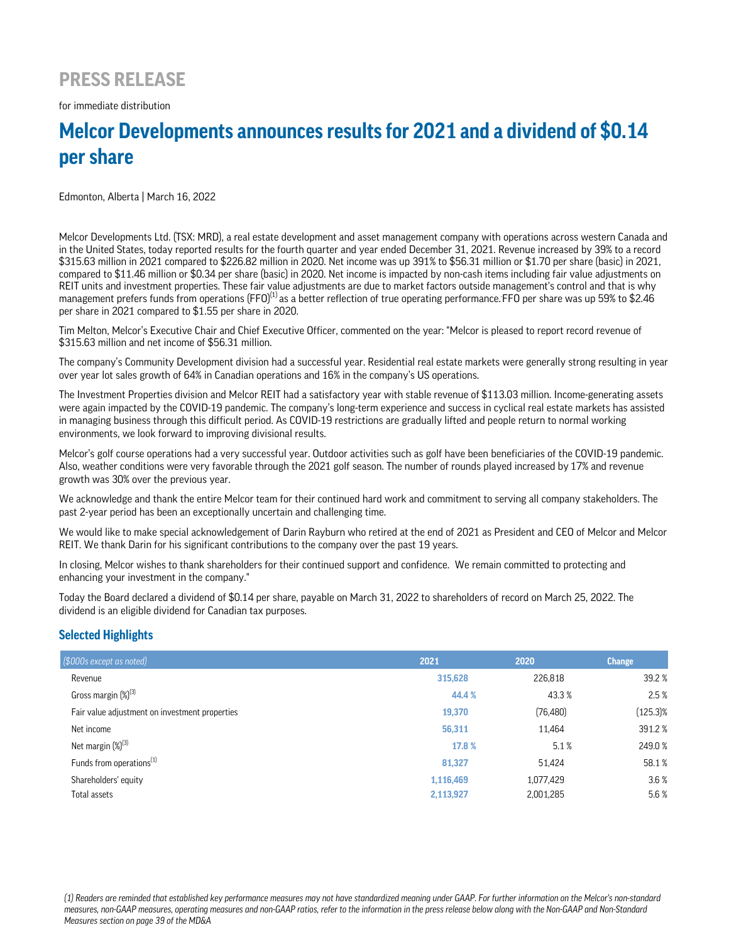## **PRESS RELEASE**

for immediate distribution

# **Melcor Developments announces results for 2021 and a dividend of \$0.14 per share**

Edmonton, Alberta | March 16, 2022

Melcor Developments Ltd. (TSX: MRD), a real estate development and asset management company with operations across western Canada and in the United States, today reported results for the fourth quarter and year ended December 31, 2021. Revenue increased by 39% to a record \$315.63 million in 2021 compared to \$226.82 million in 2020. Net income was up 391% to \$56.31 million or \$1.70 per share (basic) in 2021, compared to \$11.46 million or \$0.34 per share (basic) in 2020. Net income is impacted by non-cash items including fair value adjustments on REIT units and investment properties. These fair value adjustments are due to market factors outside management's control and that is why management prefers funds from operations (FFO) $^{(1)}$ as a better reflection of true operating performance. FFO per share was up 59% to \$2.46 per share in 2021 compared to \$1.55 per share in 2020.

Tim Melton, Melcor's Executive Chair and Chief Executive Officer, commented on the year: "Melcor is pleased to report record revenue of \$315.63 million and net income of \$56.31 million.

The company's Community Development division had a successful year. Residential real estate markets were generally strong resulting in year over year lot sales growth of 64% in Canadian operations and 16% in the company's US operations.

The Investment Properties division and Melcor REIT had a satisfactory year with stable revenue of \$113.03 million. Income-generating assets were again impacted by the COVID-19 pandemic. The company's long-term experience and success in cyclical real estate markets has assisted in managing business through this difficult period. As COVID-19 restrictions are gradually lifted and people return to normal working environments, we look forward to improving divisional results.

Melcor's golf course operations had a very successful year. Outdoor activities such as golf have been beneficiaries of the COVID-19 pandemic. Also, weather conditions were very favorable through the 2021 golf season. The number of rounds played increased by 17% and revenue growth was 30% over the previous year.

We acknowledge and thank the entire Melcor team for their continued hard work and commitment to serving all company stakeholders. The past 2-year period has been an exceptionally uncertain and challenging time.

We would like to make special acknowledgement of Darin Rayburn who retired at the end of 2021 as President and CEO of Melcor and Melcor REIT. We thank Darin for his significant contributions to the company over the past 19 years.

In closing, Melcor wishes to thank shareholders for their continued support and confidence. We remain committed to protecting and enhancing your investment in the company."

Today the Board declared a dividend of \$0.14 per share, payable on March 31, 2022 to shareholders of record on March 25, 2022. The dividend is an eligible dividend for Canadian tax purposes.

### **Selected Highlights**

| (\$000s except as noted)                       | 2021      | 2020      | <b>Change</b> |
|------------------------------------------------|-----------|-----------|---------------|
| Revenue                                        | 315,628   | 226,818   | 39.2 %        |
| Gross margin (%) <sup>(3)</sup>                | 44.4 %    | 43.3%     | 2.5%          |
| Fair value adjustment on investment properties | 19,370    | (76, 480) | $(125.3)\%$   |
| Net income                                     | 56,311    | 11,464    | 391.2%        |
| Net margin $(\%)^{(3)}$                        | 17.8 %    | 5.1%      | 249.0%        |
| Funds from operations <sup>(1)</sup>           | 81,327    | 51,424    | 58.1%         |
| Shareholders' equity                           | 1,116,469 | 1,077,429 | 3.6%          |
| Total assets                                   | 2,113,927 | 2,001,285 | 5.6%          |

*(1) Readers are reminded that established key performance measures may not have standardized meaning under GAAP. For further information on the Melcor's non-standard measures, non-GAAP measures, operating measures and non-GAAP ratios, refer to the information in the press release below along with the Non-GAAP and Non-Standard Measures section on page 39 of the MD&A*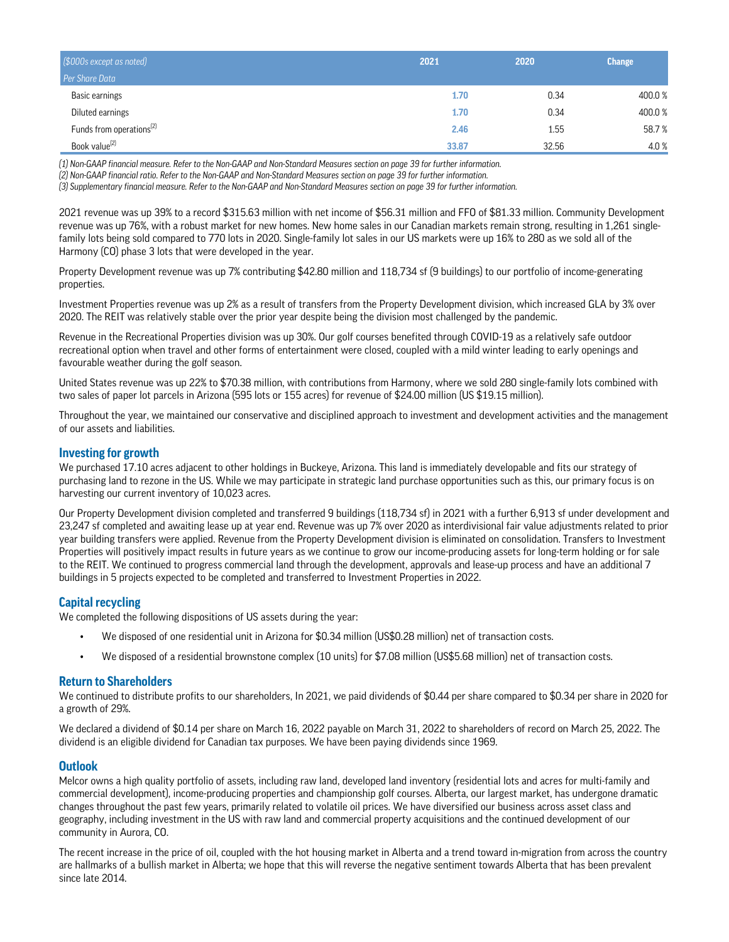| [\$000s except as noted]             | 2021  | 2020  | <b>Change</b> |
|--------------------------------------|-------|-------|---------------|
| Per Share Data                       |       |       |               |
| Basic earnings                       | 1.70  | 0.34  | 400.0%        |
| Diluted earnings                     | 1.70  | 0.34  | 400.0%        |
| Funds from operations <sup>(2)</sup> | 2.46  | 1.55  | 58.7%         |
| Book value <sup>(2)</sup>            | 33.87 | 32.56 | 4.0%          |

*(1) Non-GAAP financial measure. Refer to the Non-GAAP and Non-Standard Measures section on page 39 for further information.*

*(2) Non-GAAP financial ratio. Refer to the Non-GAAP and Non-Standard Measures section on page 39 for further information.*

*(3) Supplementary financial measure. Refer to the Non-GAAP and Non-Standard Measures section on page 39 for further information.*

2021 revenue was up 39% to a record \$315.63 million with net income of \$56.31 million and FFO of \$81.33 million. Community Development revenue was up 76%, with a robust market for new homes. New home sales in our Canadian markets remain strong, resulting in 1,261 singlefamily lots being sold compared to 770 lots in 2020. Single-family lot sales in our US markets were up 16% to 280 as we sold all of the Harmony (CO) phase 3 lots that were developed in the year.

Property Development revenue was up 7% contributing \$42.80 million and 118,734 sf (9 buildings) to our portfolio of income-generating properties.

Investment Properties revenue was up 2% as a result of transfers from the Property Development division, which increased GLA by 3% over 2020. The REIT was relatively stable over the prior year despite being the division most challenged by the pandemic.

Revenue in the Recreational Properties division was up 30%. Our golf courses benefited through COVID-19 as a relatively safe outdoor recreational option when travel and other forms of entertainment were closed, coupled with a mild winter leading to early openings and favourable weather during the golf season.

United States revenue was up 22% to \$70.38 million, with contributions from Harmony, where we sold 280 single-family lots combined with two sales of paper lot parcels in Arizona (595 lots or 155 acres) for revenue of \$24.00 million (US \$19.15 million).

Throughout the year, we maintained our conservative and disciplined approach to investment and development activities and the management of our assets and liabilities.

#### **Investing for growth**

We purchased 17.10 acres adjacent to other holdings in Buckeye, Arizona. This land is immediately developable and fits our strategy of purchasing land to rezone in the US. While we may participate in strategic land purchase opportunities such as this, our primary focus is on harvesting our current inventory of 10,023 acres.

Our Property Development division completed and transferred 9 buildings (118,734 sf) in 2021 with a further 6,913 sf under development and 23,247 sf completed and awaiting lease up at year end. Revenue was up 7% over 2020 as interdivisional fair value adjustments related to prior year building transfers were applied. Revenue from the Property Development division is eliminated on consolidation. Transfers to Investment Properties will positively impact results in future years as we continue to grow our income-producing assets for long-term holding or for sale to the REIT. We continued to progress commercial land through the development, approvals and lease-up process and have an additional 7 buildings in 5 projects expected to be completed and transferred to Investment Properties in 2022.

#### **Capital recycling**

We completed the following dispositions of US assets during the year:

- We disposed of one residential unit in Arizona for \$0.34 million (US\$0.28 million) net of transaction costs.
- We disposed of a residential brownstone complex (10 units) for \$7.08 million (US\$5.68 million) net of transaction costs.

#### **Return to Shareholders**

We continued to distribute profits to our shareholders, In 2021, we paid dividends of \$0.44 per share compared to \$0.34 per share in 2020 for a growth of 29%.

We declared a dividend of \$0.14 per share on March 16, 2022 payable on March 31, 2022 to shareholders of record on March 25, 2022. The dividend is an eligible dividend for Canadian tax purposes. We have been paying dividends since 1969.

#### **Outlook**

Melcor owns a high quality portfolio of assets, including raw land, developed land inventory (residential lots and acres for multi-family and commercial development), income-producing properties and championship golf courses. Alberta, our largest market, has undergone dramatic changes throughout the past few years, primarily related to volatile oil prices. We have diversified our business across asset class and geography, including investment in the US with raw land and commercial property acquisitions and the continued development of our community in Aurora, CO.

The recent increase in the price of oil, coupled with the hot housing market in Alberta and a trend toward in-migration from across the country are hallmarks of a bullish market in Alberta; we hope that this will reverse the negative sentiment towards Alberta that has been prevalent since late 2014.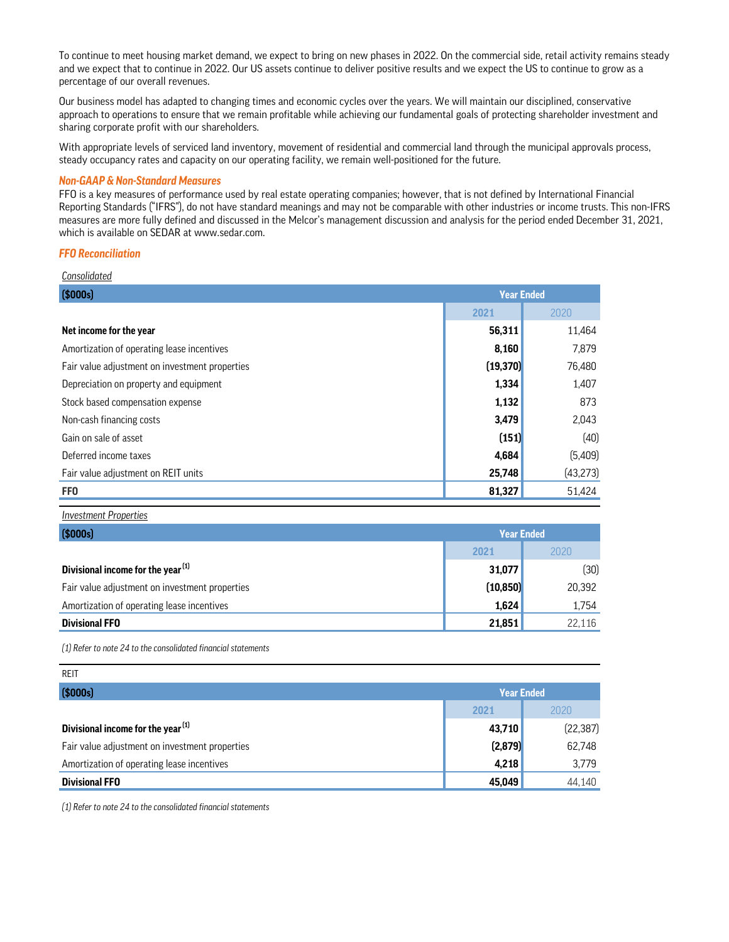To continue to meet housing market demand, we expect to bring on new phases in 2022. On the commercial side, retail activity remains steady and we expect that to continue in 2022. Our US assets continue to deliver positive results and we expect the US to continue to grow as a percentage of our overall revenues.

Our business model has adapted to changing times and economic cycles over the years. We will maintain our disciplined, conservative approach to operations to ensure that we remain profitable while achieving our fundamental goals of protecting shareholder investment and sharing corporate profit with our shareholders.

With appropriate levels of serviced land inventory, movement of residential and commercial land through the municipal approvals process, steady occupancy rates and capacity on our operating facility, we remain well-positioned for the future.

#### *Non-GAAP & Non-Standard Measures*

FFO is a key measures of performance used by real estate operating companies; however, that is not defined by International Financial Reporting Standards ("IFRS"), do not have standard meanings and may not be comparable with other industries or income trusts. This non-IFRS measures are more fully defined and discussed in the Melcor's management discussion and analysis for the period ended December 31, 2021, which is available on SEDAR at www.sedar.com.

#### *FFO Reconciliation*

| Consolidated                                   |                   |           |
|------------------------------------------------|-------------------|-----------|
| \$000s]                                        | <b>Year Ended</b> |           |
|                                                | 2021              | 2020      |
| Net income for the year                        | 56,311            | 11,464    |
| Amortization of operating lease incentives     | 8,160             | 7,879     |
| Fair value adjustment on investment properties | (19, 370)         | 76,480    |
| Depreciation on property and equipment         | 1,334             | 1,407     |
| Stock based compensation expense               | 1,132             | 873       |
| Non-cash financing costs                       | 3,479             | 2,043     |
| Gain on sale of asset                          | (151)             | (40)      |
| Deferred income taxes                          | 4,684             | (5,409)   |
| Fair value adjustment on REIT units            | 25,748            | (43, 273) |
| <b>FFO</b>                                     | 81,327            | 51.424    |

*Investment Properties*

| (\$000s)                                       | <b>Year Ended</b> |        |
|------------------------------------------------|-------------------|--------|
|                                                | 2021              | 2020   |
| Divisional income for the year <sup>(1)</sup>  | 31,077            | (30)   |
| Fair value adjustment on investment properties | (10, 850)         | 20,392 |
| Amortization of operating lease incentives     | 1,624             | 1,754  |
| <b>Divisional FFO</b>                          | 21,851            | 22.116 |

*(1) Refer to note 24 to the consolidated financial statements*

| <b>REIT</b>                                    |                   |           |
|------------------------------------------------|-------------------|-----------|
| (\$000s)                                       | <b>Year Ended</b> |           |
|                                                | 2021              | 2020      |
| Divisional income for the year <sup>(1)</sup>  | 43,710            | (22, 387) |
| Fair value adjustment on investment properties | (2, 879)          | 62,748    |
| Amortization of operating lease incentives     | 4,218             | 3,779     |
| <b>Divisional FFO</b>                          | 45,049            | 44,140    |

*(1) Refer to note 24 to the consolidated financial statements*